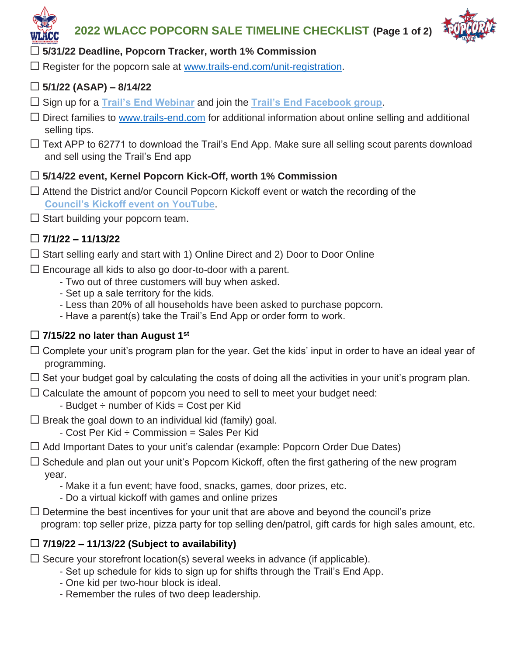



## ☐ **5/31/22 Deadline, Popcorn Tracker, worth 1% Commission**

 $\Box$  Register for the popcorn sale at www.trails-end.com/unit-registration.

## ☐ **5/1/22 (ASAP) – 8/14/22**

- ☐ Sign up for a **[Trail's End Webinar](https://www.trails-end.com/webinars)** and join the **[Trail's End Facebook group](https://www.facebook.com/TrailsEndPopcorn/)**.
- $\Box$  Direct families to www.trails-end.com for additional information about online selling and additional selling tips.
- $\Box$  Text APP to 62771 to download the Trail's End App. Make sure all selling scout parents download and sell using the Trail's End app

### ☐ **5/14/22 event, Kernel Popcorn Kick-Off, worth 1% Commission**

- $\Box$  Attend the District and/or Council Popcorn Kickoff event or watch the recording of the **[Council's Kickoff event on YouTube](https://youtu.be/zqsQRz5svVU)**.
- $\Box$  Start building your popcorn team.

## ☐ **7/1/22 – 11/13/22**

- $\Box$  Start selling early and start with 1) Online Direct and 2) Door to Door Online
- $\Box$  Encourage all kids to also go door-to-door with a parent.
	- Two out of three customers will buy when asked.
	- Set up a sale territory for the kids.
	- Less than 20% of all households have been asked to purchase popcorn.
	- Have a parent(s) take the Trail's End App or order form to work.

## ☐ **7/15/22 no later than August 1st**

- $\Box$  Complete your unit's program plan for the year. Get the kids' input in order to have an ideal year of programming.
- $\Box$  Set your budget goal by calculating the costs of doing all the activities in your unit's program plan.
- $\Box$  Calculate the amount of popcorn you need to sell to meet your budget need:
	- $-$  Budget  $\div$  number of Kids = Cost per Kid
- $\Box$  Break the goal down to an individual kid (family) goal.
	- $-$  Cost Per Kid  $\div$  Commission = Sales Per Kid
- $\Box$  Add Important Dates to your unit's calendar (example: Popcorn Order Due Dates)
- $\Box$  Schedule and plan out your unit's Popcorn Kickoff, often the first gathering of the new program year.
	- Make it a fun event; have food, snacks, games, door prizes, etc.
	- Do a virtual kickoff with games and online prizes
- $\Box$  Determine the best incentives for your unit that are above and beyond the council's prize program: top seller prize, pizza party for top selling den/patrol, gift cards for high sales amount, etc.

## ☐ **7/19/22 – 11/13/22 (Subject to availability)**

- $\Box$  Secure your storefront location(s) several weeks in advance (if applicable).
	- Set up schedule for kids to sign up for shifts through the Trail's End App.
	- One kid per two-hour block is ideal.
	- Remember the rules of two deep leadership.